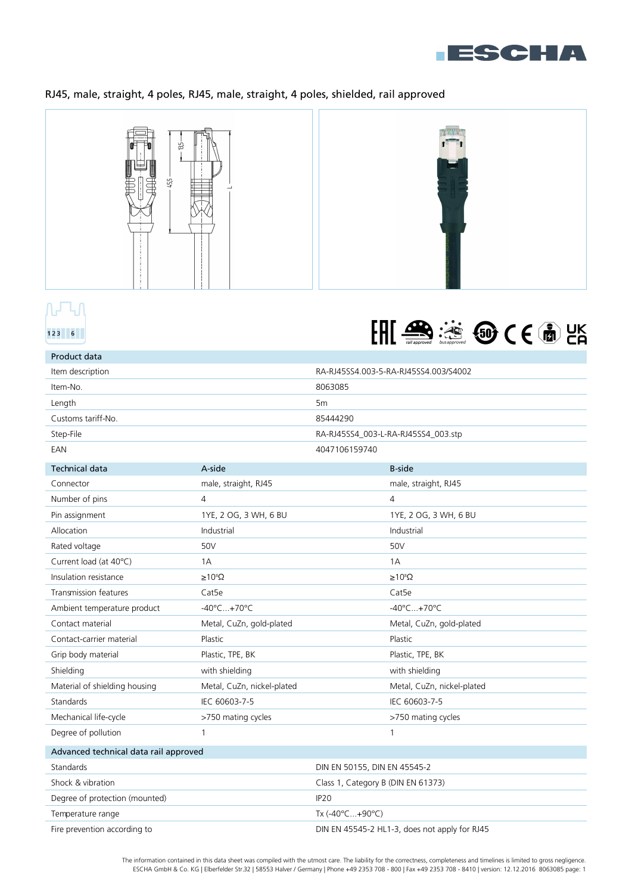

# RJ45, male, straight, 4 poles, RJ45, male, straight, 4 poles, shielded, rail approved





| Product data                          |                              |                                    |                                               |  |
|---------------------------------------|------------------------------|------------------------------------|-----------------------------------------------|--|
| Item description                      |                              |                                    | RA-RJ45SS4.003-5-RA-RJ45SS4.003/S4002         |  |
| Item-No.                              |                              | 8063085                            |                                               |  |
| Length                                |                              | 5 <sub>m</sub>                     |                                               |  |
| Customs tariff-No.                    |                              | 85444290                           |                                               |  |
| Step-File                             |                              |                                    | RA-RJ45SS4_003-L-RA-RJ45SS4_003.stp           |  |
| EAN                                   | 4047106159740                |                                    |                                               |  |
| <b>Technical data</b>                 | A-side                       |                                    | <b>B-side</b>                                 |  |
| Connector                             | male, straight, RJ45         |                                    | male, straight, RJ45                          |  |
| Number of pins                        | 4                            |                                    | 4                                             |  |
| Pin assignment                        | 1YE, 2 OG, 3 WH, 6 BU        |                                    | 1YE, 2 OG, 3 WH, 6 BU                         |  |
| Allocation                            | Industrial                   |                                    | Industrial                                    |  |
| Rated voltage                         | 50V                          |                                    | 50V                                           |  |
| Current load (at 40°C)                | 1A                           |                                    | 1A                                            |  |
| Insulation resistance                 | $\geq 10^8 \Omega$           |                                    | $\geq 10^8 \Omega$                            |  |
| Transmission features                 | Cat <sub>5e</sub>            |                                    | Cat5e                                         |  |
| Ambient temperature product           | $-40^{\circ}$ C+70°C         |                                    | $-40^{\circ}$ C+70°C                          |  |
| Contact material                      | Metal, CuZn, gold-plated     |                                    | Metal, CuZn, gold-plated                      |  |
| Contact-carrier material              | Plastic                      |                                    | Plastic                                       |  |
| Grip body material                    | Plastic, TPE, BK             |                                    | Plastic, TPE, BK                              |  |
| Shielding                             | with shielding               |                                    | with shielding                                |  |
| Material of shielding housing         | Metal, CuZn, nickel-plated   |                                    | Metal, CuZn, nickel-plated                    |  |
| Standards                             | IEC 60603-7-5                |                                    | IEC 60603-7-5                                 |  |
| Mechanical life-cycle                 | >750 mating cycles           |                                    | >750 mating cycles                            |  |
| Degree of pollution                   | 1                            |                                    | 1                                             |  |
| Advanced technical data rail approved |                              |                                    |                                               |  |
| Standards                             | DIN EN 50155, DIN EN 45545-2 |                                    |                                               |  |
| Shock & vibration                     |                              | Class 1, Category B (DIN EN 61373) |                                               |  |
| Degree of protection (mounted)        |                              | IP <sub>20</sub>                   |                                               |  |
| Tx (-40°C+90°C)<br>Temperature range  |                              |                                    |                                               |  |
| Fire prevention according to          |                              |                                    | DIN EN 45545-2 HL1-3, does not apply for RJ45 |  |